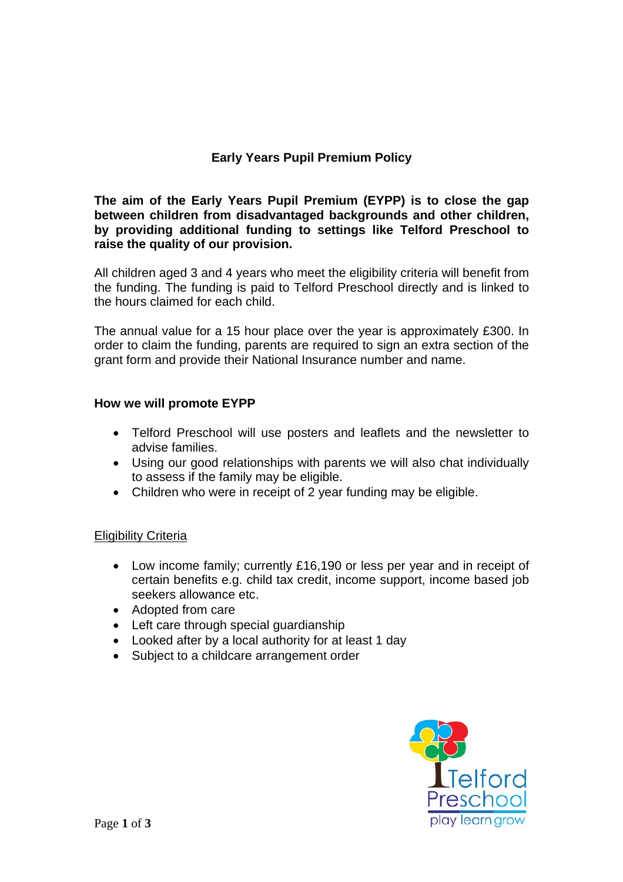## **Early Years Pupil Premium Policy**

**The aim of the Early Years Pupil Premium (EYPP) is to close the gap between children from disadvantaged backgrounds and other children, by providing additional funding to settings like Telford Preschool to raise the quality of our provision.** 

All children aged 3 and 4 years who meet the eligibility criteria will benefit from the funding. The funding is paid to Telford Preschool directly and is linked to the hours claimed for each child.

The annual value for a 15 hour place over the year is approximately £300. In order to claim the funding, parents are required to sign an extra section of the grant form and provide their National Insurance number and name.

## **How we will promote EYPP**

- Telford Preschool will use posters and leaflets and the newsletter to advise families.
- Using our good relationships with parents we will also chat individually to assess if the family may be eligible.
- Children who were in receipt of 2 year funding may be eligible.

## **Eligibility Criteria**

- Low income family; currently £16,190 or less per year and in receipt of certain benefits e.g. child tax credit, income support, income based job seekers allowance etc.
- Adopted from care
- Left care through special guardianship
- Looked after by a local authority for at least 1 day
- Subject to a childcare arrangement order

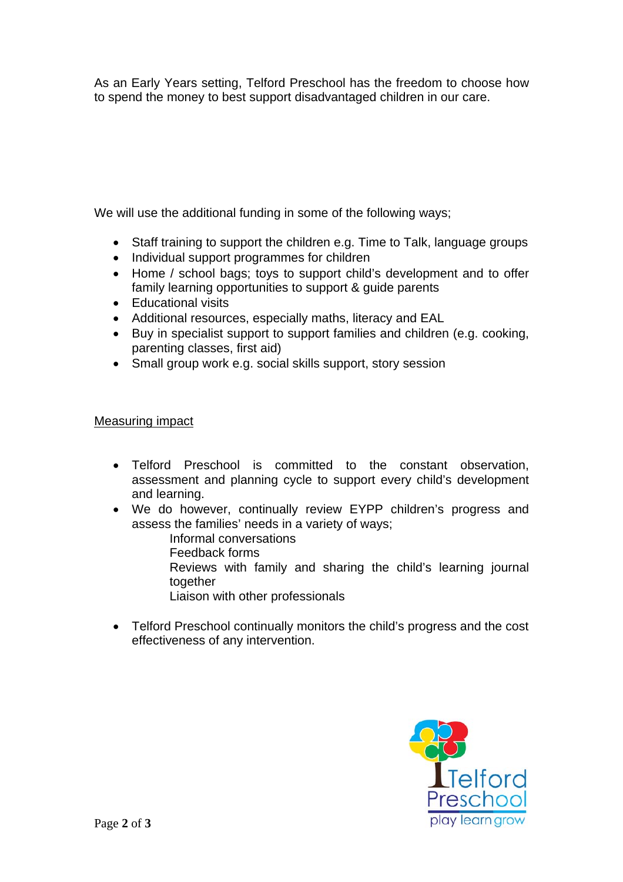As an Early Years setting, Telford Preschool has the freedom to choose how to spend the money to best support disadvantaged children in our care.

We will use the additional funding in some of the following ways:

- Staff training to support the children e.g. Time to Talk, language groups
- Individual support programmes for children
- Home / school bags; toys to support child's development and to offer family learning opportunities to support & guide parents
- Educational visits
- Additional resources, especially maths, literacy and EAL
- Buy in specialist support to support families and children (e.g. cooking, parenting classes, first aid)
- Small group work e.g. social skills support, story session

## Measuring impact

- Telford Preschool is committed to the constant observation, assessment and planning cycle to support every child's development and learning.
- We do however, continually review EYPP children's progress and assess the families' needs in a variety of ways;
	- Informal conversations
	- Feedback forms
	- Reviews with family and sharing the child's learning journal together
	- Liaison with other professionals
- Telford Preschool continually monitors the child's progress and the cost effectiveness of any intervention.